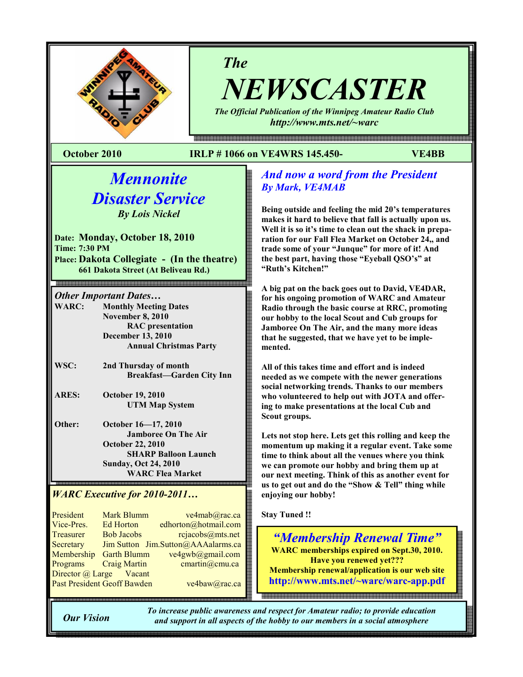

# The

NEWSCASTER The Official Publication of the Winnipeg Amateur Radio Club

http://www.mts.net/~warc

### October 2010 IRLP # 1066 on VE4WRS 145.450- VE4BB

# **Mennonite** Disaster Service By Lois Nickel

Date: Monday, October 18, 2010 Time: 7:30 PM Place: Dakota Collegiate - (In the theatre) 661 Dakota Street (At Beliveau Rd.)

# *Other Important Dates...*<br>WARC: Monthly Meetin

**Monthly Meeting Dates**  November 8, 2010 RAC presentation December 13, 2010 Annual Christmas Party

- WSC: 2nd Thursday of month Breakfast—Garden City Inn
- ARES: October 19, 2010 UTM Map System
- Other: October 16—17, 2010 Jamboree On The Air October 22, 2010 SHARP Balloon Launch Sunday, Oct 24, 2010 WARC Flea Market

#### l WARC Executive for 2010-2011…

President Mark Blumm ve4mab@rac.ca Vice-Pres. Ed Horton edhorton@hotmail.com Treasurer Bob Jacobs rejacobs@mts.net Secretary Jim Sutton Jim.Sutton@AAAalarms.ca Membership Garth Blumm ve4gwb@gmail.com Programs Craig Martin cmartin@cmu.ca Director @ Large Vacant Past President Geoff Bawden ve4baw@rac.ca

# And now a word from the President By Mark, VE4MAB

Being outside and feeling the mid 20's temperatures makes it hard to believe that fall is actually upon us. Well it is so it's time to clean out the shack in preparation for our Fall Flea Market on October 24,, and trade some of your "Junque" for more of it! And the best part, having those "Eyeball QSO's" at "Ruth's Kitchen!"

A big pat on the back goes out to David, VE4DAR, for his ongoing promotion of WARC and Amateur Radio through the basic course at RRC, promoting our hobby to the local Scout and Cub groups for Jamboree On The Air, and the many more ideas that he suggested, that we have yet to be implemented.

All of this takes time and effort and is indeed needed as we compete with the newer generations social networking trends. Thanks to our members who volunteered to help out with JOTA and offering to make presentations at the local Cub and Scout groups.

Lets not stop here. Lets get this rolling and keep the momentum up making it a regular event. Take some time to think about all the venues where you think we can promote our hobby and bring them up at our next meeting. Think of this as another event for us to get out and do the "Show & Tell" thing while enjoying our hobby!

Stay Tuned !!

"Membership Renewal Time" WARC memberships expired on Sept.30, 2010. Have you renewed yet??? Membership renewal/application is our web site http://www.mts.net/~warc/warc-app.pdf

Our Vision

To increase public awareness and respect for Amateur radio; to provide education and support in all aspects of the hobby to our members in a social atmosphere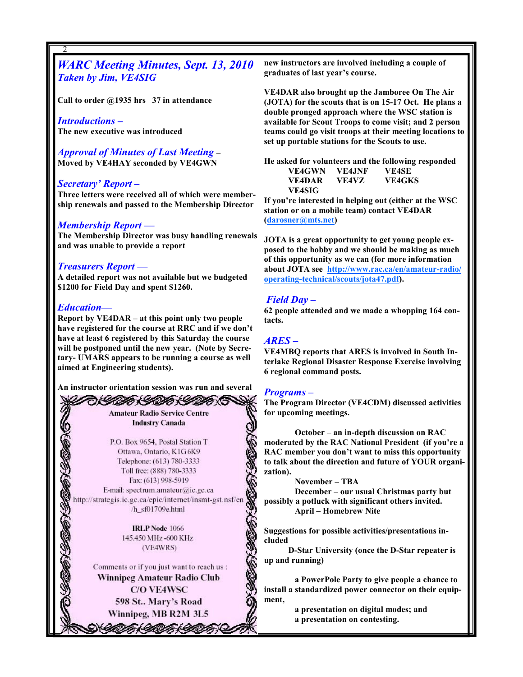# WARC Meeting Minutes, Sept. 13, 2010 Taken by Jim, VE4SIG

Call to order  $@1935$  hrs 37 in attendance

Introductions – The new executive was introduced

Approval of Minutes of Last Meeting – Moved by VE4HAY seconded by VE4GWN

#### Secretary' Report –

2

Three letters were received all of which were membership renewals and passed to the Membership Director

#### Membership Report —

The Membership Director was busy handling renewals and was unable to provide a report

#### Treasurers Report —

A detailed report was not available but we budgeted \$1200 for Field Day and spent \$1260.

#### Education—

2

Report by VE4DAR – at this point only two people have registered for the course at RRC and if we don't have at least 6 registered by this Saturday the course will be postponed until the new year. (Note by Secretary- UMARS appears to be running a course as well aimed at Engineering students).

An instructor orientation session was run and several

ふくしがく しのひょくりのかく **Amateur Radio Service Centre Industry Canada** 

P.O. Box 9654, Postal Station T Ottawa, Ontario, K1G6K9 Telephone: (613) 780-3333 Toll free: (888) 780-3333 Fax: (613) 998-5919 E-mail: spectrum.amateur@ic.gc.ca http://strategis.ic.gc.ca/epic/internet/insmt-gst.nsf/en /h sf01709e.html

> **IRLP** Node 1066 145.450 MHz-600 KHz (VE4WRS)

Comments or if you just want to reach us : Winnipeg Amateur Radio Club **C/O VE4WSC** 598 St., Mary's Road Winnipeg, MB R2M 3L5

VITA ITA ITA

new instructors are involved including a couple of graduates of last year's course.

VE4DAR also brought up the Jamboree On The Air (JOTA) for the scouts that is on 15-17 Oct. He plans a double pronged approach where the WSC station is available for Scout Troops to come visit; and 2 person teams could go visit troops at their meeting locations to set up portable stations for the Scouts to use.

He asked for volunteers and the following responded VE4GWN VE4JNF VE4SE VE4DAR VE4VZ VE4GKS VE4SIG

If you're interested in helping out (either at the WSC station or on a mobile team) contact VE4DAR (darosner@mts.net)

JOTA is a great opportunity to get young people exposed to the hobby and we should be making as much of this opportunity as we can (for more information about JOTA see http://www.rac.ca/en/amateur-radio/ operating-technical/scouts/jota47.pdf).

#### Field Day –

62 people attended and we made a whopping 164 contacts.

#### ARES –

VE4MBQ reports that ARES is involved in South Interlake Regional Disaster Response Exercise involving 6 regional command posts.

#### Programs –

The Program Director (VE4CDM) discussed activities for upcoming meetings.

October – an in-depth discussion on RAC moderated by the RAC National President (if you're a RAC member you don't want to miss this opportunity to talk about the direction and future of YOUR organization).

November – TBA

December – our usual Christmas party but possibly a potluck with significant others invited. April – Homebrew Nite

Suggestions for possible activities/presentations included

 D-Star University (once the D-Star repeater is up and running)

a PowerPole Party to give people a chance to install a standardized power connector on their equipment,

> a presentation on digital modes; and a presentation on contesting.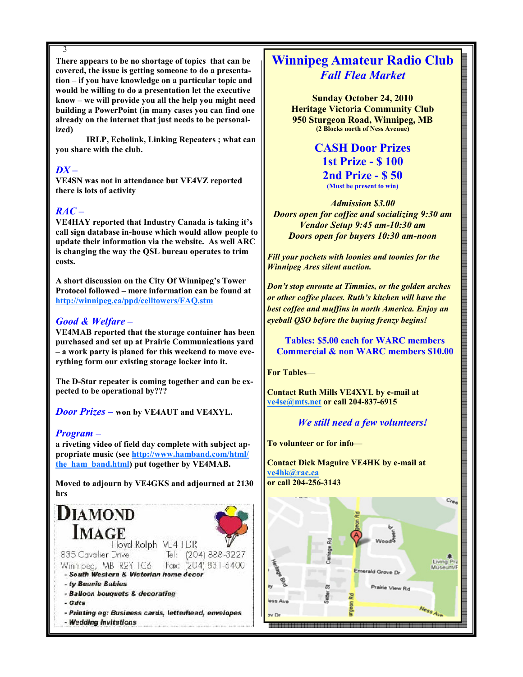3

There appears to be no shortage of topics that can be covered, the issue is getting someone to do a presentation – if you have knowledge on a particular topic and would be willing to do a presentation let the executive know – we will provide you all the help you might need building a PowerPoint (in many cases you can find one already on the internet that just needs to be personalized)

IRLP, Echolink, Linking Repeaters ; what can you share with the club.

### $DX -$

VE4SN was not in attendance but VE4VZ reported there is lots of activity

# $RAC -$

VE4HAY reported that Industry Canada is taking it's call sign database in-house which would allow people to update their information via the website. As well ARC is changing the way the QSL bureau operates to trim costs.

A short discussion on the City Of Winnipeg's Tower Protocol followed – more information can be found at http://winnipeg.ca/ppd/celltowers/FAQ.stm

#### Good & Welfare –

VE4MAB reported that the storage container has been purchased and set up at Prairie Communications yard – a work party is planed for this weekend to move everything form our existing storage locker into it.

The D-Star repeater is coming together and can be expected to be operational by???

**Door Prizes – won by VE4AUT and VE4XYL.** 

#### Program –

a riveting video of field day complete with subject appropriate music (see http://www.hamband.com/html/ the ham band.html) put together by VE4MAB.

Moved to adjourn by VE4GKS and adjourned at 2130 hrs



# Winnipeg Amateur Radio Club Fall Flea Market

Sunday October 24, 2010 Heritage Victoria Community Club 950 Sturgeon Road, Winnipeg, MB (2 Blocks north of Ness Avenue)

> CASH Door Prizes 1st Prize - \$ 100 2nd Prize - \$ 50 (Must be present to win)

Admission \$3.00 Doors open for coffee and socializing 9:30 am Vendor Setup 9:45 am-10:30 am Doors open for buyers 10:30 am-noon

Fill your pockets with loonies and toonies for the Winnipeg Ares silent auction.

Don't stop enroute at Timmies, or the golden arches or other coffee places. Ruth's kitchen will have the best coffee and muffins in north America. Enjoy an eyeball QSO before the buying frenzy begins!

 Tables: \$5.00 each for WARC members Commercial & non WARC members \$10.00

For Tables—

Contact Ruth Mills VE4XYL by e-mail at ve4se@mts.net or call 204-837-6915

#### We still need a few volunteers!

To volunteer or for info—

Contact Dick Maguire VE4HK by e-mail at ve4hk@rac.ca or call 204-256-3143

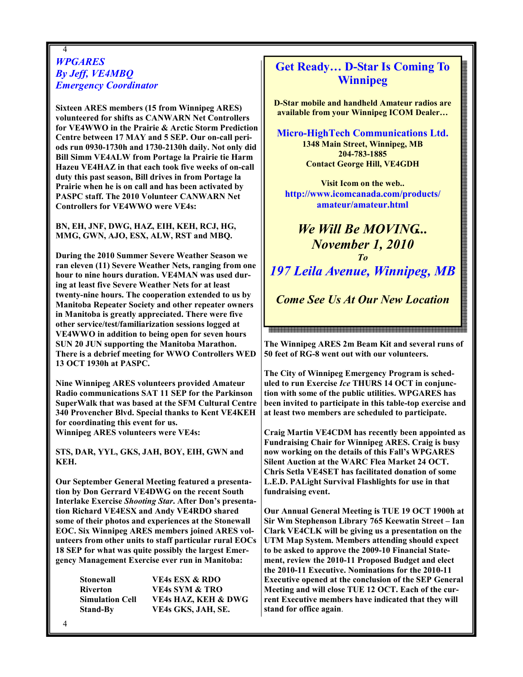#### 4 **WPGARES** By Jeff, VE4MBQ Emergency Coordinator

Sixteen ARES members (15 from Winnipeg ARES) volunteered for shifts as CANWARN Net Controllers for VE4WWO in the Prairie & Arctic Storm Prediction Centre between 17 MAY and 5 SEP. Our on-call periods run 0930-1730h and 1730-2130h daily. Not only did Bill Simm VE4ALW from Portage la Prairie tie Harm Hazeu VE4HAZ in that each took five weeks of on-call duty this past season, Bill drives in from Portage la Prairie when he is on call and has been activated by PASPC staff. The 2010 Volunteer CANWARN Net Controllers for VE4WWO were VE4s:

BN, EH, JNF, DWG, HAZ, EIH, KEH, RCJ, HG, MMG, GWN, AJO, ESX, ALW, RST and MBQ.

During the 2010 Summer Severe Weather Season we ran eleven (11) Severe Weather Nets, ranging from one hour to nine hours duration. VE4MAN was used during at least five Severe Weather Nets for at least twenty-nine hours. The cooperation extended to us by Manitoba Repeater Society and other repeater owners in Manitoba is greatly appreciated. There were five other service/test/familiarization sessions logged at VE4WWO in addition to being open for seven hours SUN 20 JUN supporting the Manitoba Marathon. There is a debrief meeting for WWO Controllers WED 13 OCT 1930h at PASPC.

Nine Winnipeg ARES volunteers provided Amateur Radio communications SAT 11 SEP for the Parkinson SuperWalk that was based at the SFM Cultural Centre 340 Provencher Blvd. Special thanks to Kent VE4KEH for coordinating this event for us. Winnipeg ARES volunteers were VE4s:

STS, DAR, YYL, GKS, JAH, BOY, EIH, GWN and KEH.

Our September General Meeting featured a presentation by Don Gerrard VE4DWG on the recent South Interlake Exercise Shooting Star. After Don's presentation Richard VE4ESX and Andy VE4RDO shared some of their photos and experiences at the Stonewall EOC. Six Winnipeg ARES members joined ARES volunteers from other units to staff particular rural EOCs 18 SEP for what was quite possibly the largest Emergency Management Exercise ever run in Manitoba:

| Stonewall              | <b>VE4s ESX &amp; RDO</b>      |
|------------------------|--------------------------------|
| Riverton               | <b>VE4s SYM &amp; TRO</b>      |
| <b>Simulation Cell</b> | <b>VE4s HAZ, KEH &amp; DWG</b> |
| <b>Stand-By</b>        | VE4s GKS, JAH, SE.             |

# Get Ready… D-Star Is Coming To Winnipeg

D-Star mobile and handheld Amateur radios are available from your Winnipeg ICOM Dealer…

Micro-HighTech Communications Ltd. 1348 Main Street, Winnipeg, MB 204-783-1885 Contact George Hill, VE4GDH

Visit Icom on the web.. http://www.icomcanada.com/products/ amateur/amateur.html

We Will Be MOVING... November 1, 2010 To 197 Leila Avenue, Winnipeg, MB Come See Us At Our New Location

The Winnipeg ARES 2m Beam Kit and several runs of 50 feet of RG-8 went out with our volunteers.

<br>오라버 제품 전 전 2003 전 2003 전 2003 전 2003 전 2003 전 2003 전 2003 전 2003 전 2003 전 2003 전 2003 전 2003 전 2003 전 2003 전 20<br>전 2012 전 2012 전 2012 전 2012 전 2012 전 2022 전 2022 전 2022 전 2022 전 2022 전 2022 전 2022 전 2022 전 2022 전 2022 전 2

The City of Winnipeg Emergency Program is scheduled to run Exercise Ice THURS 14 OCT in conjunction with some of the public utilities. WPGARES has been invited to participate in this table-top exercise and at least two members are scheduled to participate.

Craig Martin VE4CDM has recently been appointed as Fundraising Chair for Winnipeg ARES. Craig is busy now working on the details of this Fall's WPGARES Silent Auction at the WARC Flea Market 24 OCT. Chris Setla VE4SET has facilitated donation of some L.E.D. PALight Survival Flashlights for use in that fundraising event.

Our Annual General Meeting is TUE 19 OCT 1900h at Sir Wm Stephenson Library 765 Keewatin Street – Ian Clark VE4CLK will be giving us a presentation on the UTM Map System. Members attending should expect to be asked to approve the 2009-10 Financial Statement, review the 2010-11 Proposed Budget and elect the 2010-11 Executive. Nominations for the 2010-11 Executive opened at the conclusion of the SEP General Meeting and will close TUE 12 OCT. Each of the current Executive members have indicated that they will stand for office again.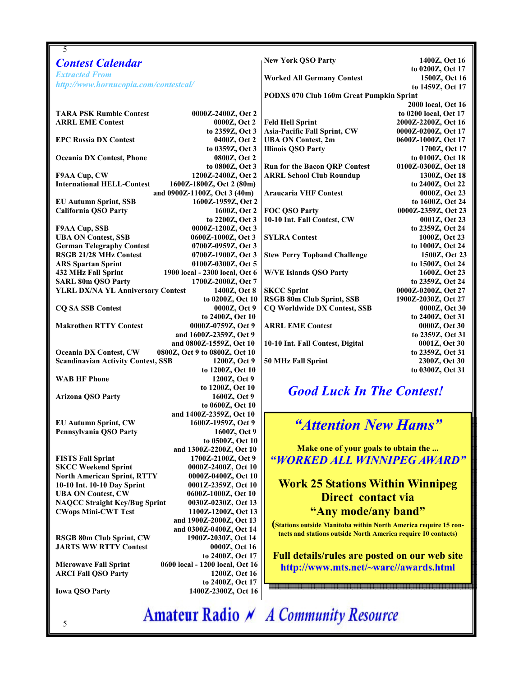| 5                                                                                                               |                                                                    |  |
|-----------------------------------------------------------------------------------------------------------------|--------------------------------------------------------------------|--|
| <b>Contest Calendar</b>                                                                                         | 1400Z, Oct 16<br><b>New York QSO Party</b>                         |  |
| <b>Extracted From</b>                                                                                           | to 0200Z, Oct 17                                                   |  |
| http://www.hornucopia.com/contestcal/                                                                           | <b>Worked All Germany Contest</b><br>1500Z, Oct 16                 |  |
|                                                                                                                 | to 1459Z, Oct 17                                                   |  |
|                                                                                                                 | PODXS 070 Club 160m Great Pumpkin Sprint<br>2000 local, Oct 16     |  |
| <b>TARA PSK Rumble Contest</b><br>0000Z-2400Z, Oct 2                                                            | to 0200 local, Oct 17                                              |  |
| <b>ARRL EME Contest</b><br>0000Z, Oct 2                                                                         | <b>Feld Hell Sprint</b><br>2000Z-2200Z, Oct 16                     |  |
| to 2359Z, Oct 3                                                                                                 | Asia-Pacific Fall Sprint, CW<br>0000Z-0200Z, Oct 17                |  |
| <b>EPC Russia DX Contest</b><br>0400Z, Oct 2                                                                    | <b>UBA ON Contest, 2m</b><br>0600Z-1000Z, Oct 17                   |  |
| to 0359Z, Oct 3                                                                                                 | <b>Illinois QSO Party</b><br>1700Z, Oct 17                         |  |
| 0800Z, Oct 2<br><b>Oceania DX Contest, Phone</b>                                                                | to 0100Z, Oct 18                                                   |  |
| to 0800Z, Oct 3                                                                                                 | <b>Run for the Bacon QRP Contest</b><br>0100Z-0300Z, Oct 18        |  |
| 1200Z-2400Z, Oct 2<br>F9AA Cup, CW                                                                              | <b>ARRL School Club Roundup</b><br>1300Z, Oct 18                   |  |
| <b>International HELL-Contest</b><br>1600Z-1800Z, Oct 2 (80m)<br>and 0900Z-1100Z, Oct 3 (40m)                   | to 2400Z, Oct 22<br><b>Araucaria VHF Contest</b><br>0000Z, Oct 23  |  |
| <b>EU Autumn Sprint, SSB</b><br>1600Z-1959Z, Oct 2                                                              | to 1600Z, Oct 24                                                   |  |
| <b>California QSO Party</b><br>1600Z, Oct 2                                                                     | FOC QSO Party<br>0000Z-2359Z, Oct 23                               |  |
| to 2200Z, Oct 3                                                                                                 | 10-10 Int. Fall Contest, CW<br>0001Z, Oct 23                       |  |
| F9AA Cup, SSB<br>0000Z-1200Z, Oct 3                                                                             | to 2359Z, Oct 24                                                   |  |
| <b>UBA ON Contest, SSB</b><br>0600Z-1000Z, Oct 3                                                                | <b>SYLRA Contest</b><br>1000Z, Oct 23                              |  |
| <b>German Telegraphy Contest</b><br>0700Z-0959Z, Oct 3                                                          | to 1000Z, Oct 24                                                   |  |
| RSGB 21/28 MHz Contest<br>0700Z-1900Z, Oct 3                                                                    | <b>Stew Perry Topband Challenge</b><br>1500Z, Oct 23               |  |
| <b>ARS Spartan Sprint</b><br>0100Z-0300Z, Oct 5                                                                 | to 1500Z, Oct 24                                                   |  |
| 1900 local - 2300 local, Oct 6<br><b>432 MHz Fall Sprint</b><br><b>SARL 80m QSO Party</b><br>1700Z-2000Z, Oct 7 | <b>W/VE Islands QSO Party</b><br>1600Z, Oct 23<br>to 2359Z, Oct 24 |  |
| <b>YLRL DX/NA YL Anniversary Contest</b><br>1400Z, Oct 8                                                        | <b>SKCC Sprint</b><br>0000Z-0200Z, Oct 27                          |  |
| to 0200Z, Oct 10                                                                                                | RSGB 80m Club Sprint, SSB<br>1900Z-2030Z, Oct 27                   |  |
| <b>CQ SA SSB Contest</b><br>0000Z, Oct 9                                                                        | <b>CQ Worldwide DX Contest, SSB</b><br>0000Z, Oct 30               |  |
| to 2400Z, Oct 10                                                                                                | to 2400Z, Oct 31                                                   |  |
| <b>Makrothen RTTY Contest</b><br>0000Z-0759Z, Oct 9                                                             | <b>ARRL EME Contest</b><br>0000Z, Oct 30                           |  |
| and 1600Z-2359Z, Oct 9                                                                                          | to 2359Z, Oct 31                                                   |  |
| and 0800Z-1559Z, Oct 10                                                                                         | 10-10 Int. Fall Contest, Digital<br>0001Z, Oct 30                  |  |
| <b>Oceania DX Contest, CW</b><br>0800Z, Oct 9 to 0800Z, Oct 10                                                  | to 2359Z, Oct 31                                                   |  |
| <b>Scandinavian Activity Contest, SSB</b><br>1200Z, Oct 9                                                       | 50 MHz Fall Sprint<br>2300Z, Oct 30                                |  |
| to 1200Z, Oct 10<br><b>WAB HF Phone</b><br>1200Z, Oct 9                                                         | to 0300Z, Oct 31                                                   |  |
| to 1200Z, Oct 10                                                                                                |                                                                    |  |
| <b>Arizona QSO Party</b><br>1600Z, Oct 9                                                                        | <b>Good Luck In The Contest!</b>                                   |  |
| to 0600Z, Oct 10                                                                                                |                                                                    |  |
| and 1400Z-2359Z, Oct 10                                                                                         |                                                                    |  |
| <b>EU Autumn Sprint, CW</b><br>1600Z-1959Z, Oct 9                                                               | "Attention New Hams"                                               |  |
| Pennsylvania QSO Party<br>1600Z, Oct 9                                                                          |                                                                    |  |
| to 0500Z, Oct 10                                                                                                | Make one of your goals to obtain the                               |  |
| and 1300Z-2200Z, Oct 10<br><b>FISTS Fall Sprint</b><br>1700Z-2100Z, Oct 9                                       |                                                                    |  |
| <b>SKCC Weekend Sprint</b><br>0000Z-2400Z, Oct 10                                                               | "WORKED ALL WINNIPEG AWARD"                                        |  |
| <b>North American Sprint, RTTY</b><br>0000Z-0400Z, Oct 10                                                       |                                                                    |  |
| 10-10 Int. 10-10 Day Sprint<br>0001Z-2359Z, Oct 10                                                              | <b>Work 25 Stations Within Winnipeg</b>                            |  |
| <b>UBA ON Contest, CW</b><br>0600Z-1000Z, Oct 10                                                                | Direct contact via                                                 |  |
| <b>NAQCC Straight Key/Bug Sprint</b><br>0030Z-0230Z, Oct 13                                                     |                                                                    |  |
| 1100Z-1200Z, Oct 13<br><b>CWops Mini-CWT Test</b>                                                               | "Any mode/any band"                                                |  |
| and 1900Z-2000Z, Oct 13                                                                                         | (Stations outside Manitoba within North America require 15 con-    |  |
| and 0300Z-0400Z, Oct 14                                                                                         | tacts and stations outside North America require 10 contacts)      |  |
| <b>RSGB 80m Club Sprint, CW</b><br>1900Z-2030Z, Oct 14<br><b>JARTS WW RTTY Contest</b><br>0000Z, Oct 16         |                                                                    |  |
| to 2400Z, Oct 17                                                                                                | Full details/rules are posted on our web site                      |  |
| 0600 local - 1200 local, Oct 16<br><b>Microwave Fall Sprint</b>                                                 | http://www.mts.net/~warc//awards.html                              |  |
| <b>ARCI Fall QSO Party</b><br>1200Z, Oct 16                                                                     |                                                                    |  |
| to 2400Z, Oct 17                                                                                                | ,,,,,,,,,,,,,,,,,,,,                                               |  |
| 1400Z-2300Z, Oct 16<br><b>Iowa QSO Party</b>                                                                    |                                                                    |  |
|                                                                                                                 |                                                                    |  |
|                                                                                                                 | <b>Amateur Radio A</b> A Community Resource                        |  |
| 5                                                                                                               |                                                                    |  |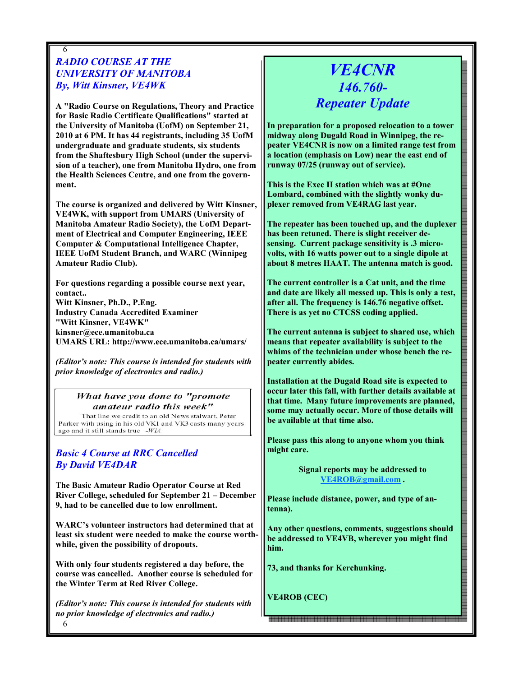# RADIO COURSE AT THE UNIVERSITY OF MANITOBA By, Witt Kinsner, VE4WK

6

A "Radio Course on Regulations, Theory and Practice for Basic Radio Certificate Qualifications" started at the University of Manitoba (UofM) on September 21, 2010 at 6 PM. It has 44 registrants, including 35 UofM undergraduate and graduate students, six students from the Shaftesbury High School (under the supervision of a teacher), one from Manitoba Hydro, one from the Health Sciences Centre, and one from the government.

The course is organized and delivered by Witt Kinsner, VE4WK, with support from UMARS (University of Manitoba Amateur Radio Society), the UofM Department of Electrical and Computer Engineering, IEEE Computer & Computational Intelligence Chapter, IEEE UofM Student Branch, and WARC (Winnipeg Amateur Radio Club).

For questions regarding a possible course next year, contact.. Witt Kinsner, Ph.D., P.Eng. Industry Canada Accredited Examiner "Witt Kinsner, VE4WK" kinsner@ece.umanitoba.ca UMARS URL: http://www.ece.umanitoba.ca/umars/

(Editor's note: This course is intended for students with prior knowledge of electronics and radio.)

#### What have you done to "promote amateur radio this week"

That line we credit to an old News stalwart, Peter Parker with using in his old VK1 and VK3 casts many years ago and it still stands true -WIA

### Basic 4 Course at RRC Cancelled By David VE4DAR

The Basic Amateur Radio Operator Course at Red River College, scheduled for September 21 – December 9, had to be cancelled due to low enrollment.

WARC's volunteer instructors had determined that at least six student were needed to make the course worthwhile, given the possibility of dropouts.

With only four students registered a day before, the course was cancelled. Another course is scheduled for the Winter Term at Red River College.

6 (Editor's note: This course is intended for students with no prior knowledge of electronics and radio.)

# VE4CNR 146.760- Repeater Update

In preparation for a proposed relocation to a tower midway along Dugald Road in Winnipeg, the repeater VE4CNR is now on a limited range test from a location (emphasis on Low) near the east end of runway 07/25 (runway out of service).

This is the Exec II station which was at #One Lombard, combined with the slightly wonky duplexer removed from VE4RAG last year.

The repeater has been touched up, and the duplexer has been retuned. There is slight receiver desensing. Current package sensitivity is .3 microvolts, with 16 watts power out to a single dipole at about 8 metres HAAT. The antenna match is good.

The current controller is a Cat unit, and the time and date are likely all messed up. This is only a test, after all. The frequency is 146.76 negative offset. There is as yet no CTCSS coding applied.

The current antenna is subject to shared use, which means that repeater availability is subject to the whims of the technician under whose bench the repeater currently abides.

Installation at the Dugald Road site is expected to occur later this fall, with further details available at that time. Many future improvements are planned, some may actually occur. More of those details will be available at that time also.

Please pass this along to anyone whom you think might care.

> Signal reports may be addressed to VE4ROB@gmail.com .

Please include distance, power, and type of antenna).

Any other questions, comments, suggestions should be addressed to VE4VB, wherever you might find him.

73, and thanks for Kerchunking.

VE4ROB (CEC)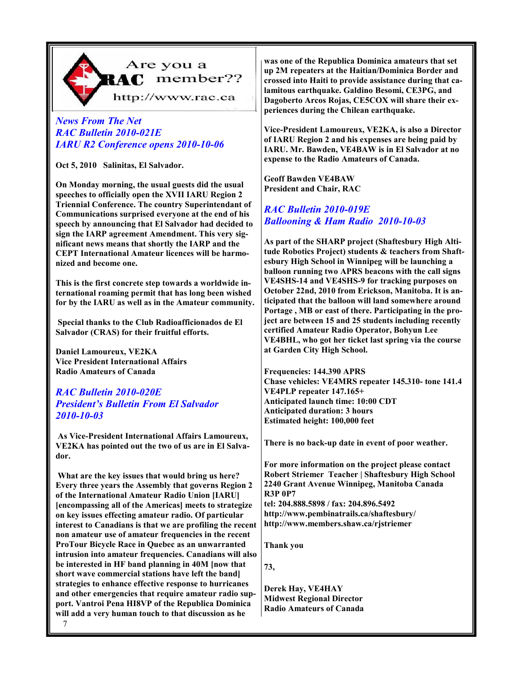

# Are you a RAC member??

http://www.rac.ca

## News From The Net RAC Bulletin 2010-021E IARU R2 Conference opens 2010-10-06

Oct 5, 2010 Salinitas, El Salvador.

On Monday morning, the usual guests did the usual speeches to officially open the XVII IARU Region 2 Triennial Conference. The country Superintendant of Communications surprised everyone at the end of his speech by announcing that El Salvador had decided to sign the IARP agreement Amendment. This very significant news means that shortly the IARP and the CEPT International Amateur licences will be harmonized and become one.

This is the first concrete step towards a worldwide international roaming permit that has long been wished for by the IARU as well as in the Amateur community.

 Special thanks to the Club Radioafficionados de El Salvador (CRAS) for their fruitful efforts.

Daniel Lamoureux, VE2KA Vice President International Affairs Radio Amateurs of Canada

### RAC Bulletin 2010-020E President's Bulletin From El Salvador 2010-10-03

 As Vice-President International Affairs Lamoureux, VE2KA has pointed out the two of us are in El Salvador.

 What are the key issues that would bring us here? Every three years the Assembly that governs Region 2 of the International Amateur Radio Union [IARU] [encompassing all of the Americas] meets to strategize on key issues effecting amateur radio. Of particular interest to Canadians is that we are profiling the recent non amateur use of amateur frequencies in the recent ProTour Bicycle Race in Quebec as an unwarranted intrusion into amateur frequencies. Canadians will also be interested in HF band planning in 40M [now that short wave commercial stations have left the band] strategies to enhance effective response to hurricanes and other emergencies that require amateur radio support. Vantroi Pena HI8VP of the Republica Dominica will add a very human touch to that discussion as he

7

was one of the Republica Dominica amateurs that set up 2M repeaters at the Haitian/Dominica Border and crossed into Haiti to provide assistance during that calamitous earthquake. Galdino Besomi, CE3PG, and Dagoberto Arcos Rojas, CE5COX will share their experiences during the Chilean earthquake.

Vice-President Lamoureux, VE2KA, is also a Director of IARU Region 2 and his expenses are being paid by IARU. Mr. Bawden, VE4BAW is in El Salvador at no expense to the Radio Amateurs of Canada.

Geoff Bawden VE4BAW President and Chair, RAC

# RAC Bulletin 2010-019E Ballooning & Ham Radio 2010-10-03

As part of the SHARP project (Shaftesbury High Altitude Robotics Project) students & teachers from Shaftesbury High School in Winnipeg will be launching a balloon running two APRS beacons with the call signs VE4SHS-14 and VE4SHS-9 for tracking purposes on October 22nd, 2010 from Erickson, Manitoba. It is anticipated that the balloon will land somewhere around Portage , MB or east of there. Participating in the project are between 15 and 25 students including recently certified Amateur Radio Operator, Bohyun Lee VE4BHL, who got her ticket last spring via the course at Garden City High School.

Frequencies: 144.390 APRS Chase vehicles: VE4MRS repeater 145.310- tone 141.4 VE4PLP repeater 147.165+ Anticipated launch time: 10:00 CDT Anticipated duration: 3 hours Estimated height: 100,000 feet

There is no back-up date in event of poor weather.

For more information on the project please contact Robert Striemer Teacher | Shaftesbury High School 2240 Grant Avenue Winnipeg, Manitoba Canada R3P 0P7 tel: 204.888.5898 / fax: 204.896.5492 http://www.pembinatrails.ca/shaftesbury/ http://www.members.shaw.ca/rjstriemer

Thank you

73,

Derek Hay, VE4HAY Midwest Regional Director Radio Amateurs of Canada